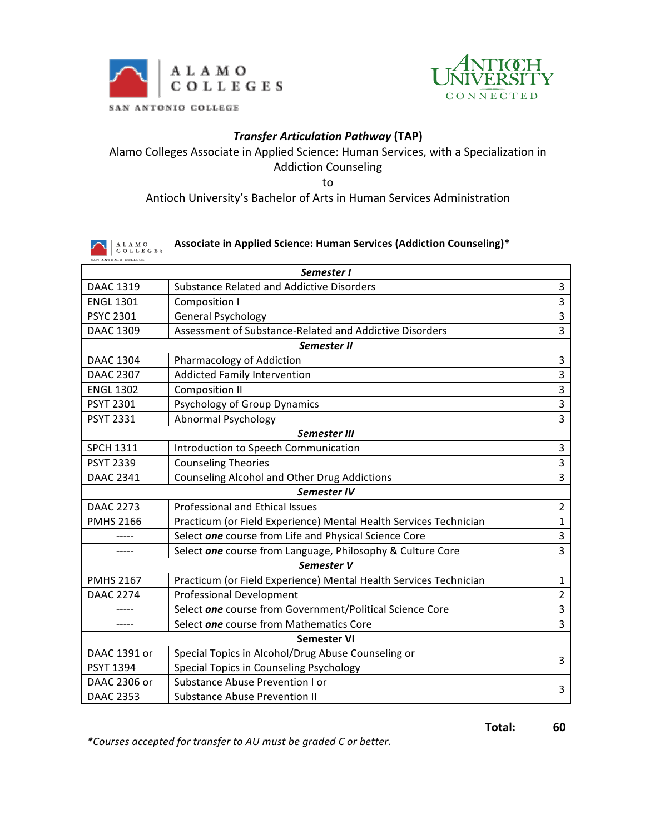



# *Transfer Articulation Pathway* **(TAP)**

Alamo Colleges Associate in Applied Science: Human Services, with a Specialization in Addiction Counseling 

to

#### Antioch University's Bachelor of Arts in Human Services Administration

#### Associate in Applied Science: Human Services (Addiction Counseling)\*  $\begin{array}{|cl|} \hbox{A\ L\ A\ M\ O} \\ \hbox{C\ O\ L\ L\ E\ G\ E\ S} \end{array}$ ANTONIO COLLEGE

| Semester I          |                                                                   |                |  |
|---------------------|-------------------------------------------------------------------|----------------|--|
| <b>DAAC 1319</b>    | <b>Substance Related and Addictive Disorders</b>                  | 3              |  |
| <b>ENGL 1301</b>    | Composition I                                                     | 3              |  |
| <b>PSYC 2301</b>    | <b>General Psychology</b>                                         | 3              |  |
| <b>DAAC 1309</b>    | Assessment of Substance-Related and Addictive Disorders           | 3              |  |
| Semester II         |                                                                   |                |  |
| <b>DAAC 1304</b>    | Pharmacology of Addiction                                         | 3              |  |
| <b>DAAC 2307</b>    | <b>Addicted Family Intervention</b>                               | $\overline{3}$ |  |
| <b>ENGL 1302</b>    | <b>Composition II</b>                                             | 3              |  |
| <b>PSYT 2301</b>    | <b>Psychology of Group Dynamics</b>                               | 3              |  |
| <b>PSYT 2331</b>    | <b>Abnormal Psychology</b>                                        | 3              |  |
| <b>Semester III</b> |                                                                   |                |  |
| <b>SPCH 1311</b>    | Introduction to Speech Communication                              | 3              |  |
| <b>PSYT 2339</b>    | <b>Counseling Theories</b>                                        | 3              |  |
| <b>DAAC 2341</b>    | Counseling Alcohol and Other Drug Addictions                      | $\overline{3}$ |  |
| Semester IV         |                                                                   |                |  |
| <b>DAAC 2273</b>    | Professional and Ethical Issues                                   | $\overline{2}$ |  |
| <b>PMHS 2166</b>    | Practicum (or Field Experience) Mental Health Services Technician | $\mathbf{1}$   |  |
|                     | Select one course from Life and Physical Science Core             | 3              |  |
|                     | Select one course from Language, Philosophy & Culture Core        | $\overline{3}$ |  |
| Semester V          |                                                                   |                |  |
| <b>PMHS 2167</b>    | Practicum (or Field Experience) Mental Health Services Technician | $\mathbf{1}$   |  |
| <b>DAAC 2274</b>    | <b>Professional Development</b>                                   | $\overline{2}$ |  |
|                     | Select one course from Government/Political Science Core          | 3              |  |
|                     | Select one course from Mathematics Core                           | $\overline{3}$ |  |
| <b>Semester VI</b>  |                                                                   |                |  |
| DAAC 1391 or        | Special Topics in Alcohol/Drug Abuse Counseling or                | 3              |  |
| <b>PSYT 1394</b>    | Special Topics in Counseling Psychology                           |                |  |
| DAAC 2306 or        | Substance Abuse Prevention I or                                   | 3              |  |
| <b>DAAC 2353</b>    | <b>Substance Abuse Prevention II</b>                              |                |  |

*\*Courses accepted for transfer to AU must be graded C or better.*

**Total: 60**